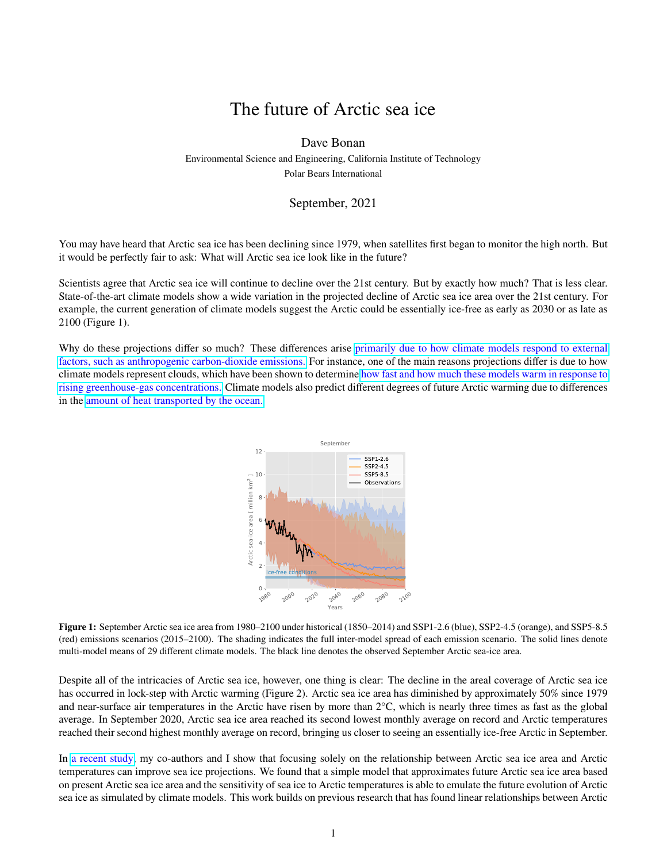## The future of Arctic sea ice

## Dave Bonan

Environmental Science and Engineering, California Institute of Technology Polar Bears International

## September, 2021

You may have heard that Arctic sea ice has been declining since 1979, when satellites first began to monitor the high north. But it would be perfectly fair to ask: What will Arctic sea ice look like in the future?

Scientists agree that Arctic sea ice will continue to decline over the 21st century. But by exactly how much? That is less clear. State-of-the-art climate models show a wide variation in the projected decline of Arctic sea ice area over the 21st century. For example, the current generation of climate models suggest the Arctic could be essentially ice-free as early as 2030 or as late as 2100 (Figure 1).

Why do these projections differ so much? These differences arise [primarily due to how climate models respond to external](https://doi.org/10.1088/1748-9326/abe0ec) [factors, such as anthropogenic carbon-dioxide emissions.](https://doi.org/10.1088/1748-9326/abe0ec) For instance, one of the main reasons projections differ is due to how climate models represent clouds, which have been shown to determine [how fast and how much these models warm in response to](https://doi.org/10.1029/2019GL085782) [rising greenhouse-gas concentrations.](https://doi.org/10.1029/2019GL085782) Climate models also predict different degrees of future Arctic warming due to differences in the [amount of heat transported by the ocean.](https://doi.org/10.1175/2010JCLI3713.1)



**Figure 1:** September Arctic sea ice area from 1980–2100 under historical (1850–2014) and SSP1-2.6 (blue), SSP2-4.5 (orange), and SSP5-8.5 (red) emissions scenarios (2015–2100). The shading indicates the full inter-model spread of each emission scenario. The solid lines denote multi-model means of 29 different climate models. The black line denotes the observed September Arctic sea-ice area.

Despite all of the intricacies of Arctic sea ice, however, one thing is clear: The decline in the areal coverage of Arctic sea ice has occurred in lock-step with Arctic warming (Figure 2). Arctic sea ice area has diminished by approximately 50% since 1979 and near-surface air temperatures in the Arctic have risen by more than 2°C, which is nearly three times as fast as the global average. In September 2020, Arctic sea ice area reached its second lowest monthly average on record and Arctic temperatures reached their second highest monthly average on record, bringing us closer to seeing an essentially ice-free Arctic in September.

In [a recent study,](https://doi.org/10.1029/2021GL094309) my co-authors and I show that focusing solely on the relationship between Arctic sea ice area and Arctic temperatures can improve sea ice projections. We found that a simple model that approximates future Arctic sea ice area based on present Arctic sea ice area and the sensitivity of sea ice to Arctic temperatures is able to emulate the future evolution of Arctic sea ice as simulated by climate models. This work builds on previous research that has found linear relationships between Arctic